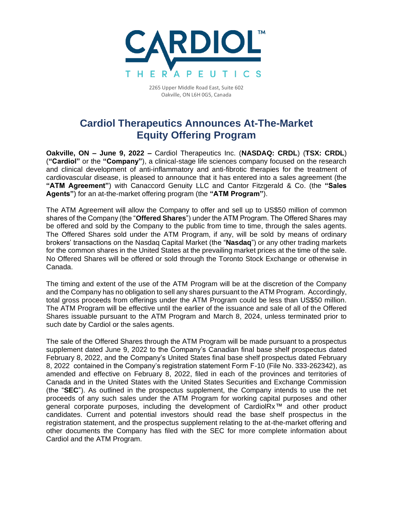

2265 Upper Middle Road East, Suite 602 Oakville, ON L6H 0G5, Canada

## **Cardiol Therapeutics Announces At-The-Market Equity Offering Program**

**Oakville, ON – June 9, 2022 –** Cardiol Therapeutics Inc. (**NASDAQ: CRDL**) (**TSX: CRDL**) (**"Cardiol"** or the **"Company"**), a clinical-stage life sciences company focused on the research and clinical development of anti-inflammatory and anti-fibrotic therapies for the treatment of cardiovascular disease, is pleased to announce that it has entered into a sales agreement (the **"ATM Agreement"**) with Canaccord Genuity LLC and Cantor Fitzgerald & Co. (the **"Sales Agents"**) for an at-the-market offering program (the **"ATM Program"**).

The ATM Agreement will allow the Company to offer and sell up to US\$50 million of common shares of the Company (the "**Offered Shares**") under the ATM Program. The Offered Shares may be offered and sold by the Company to the public from time to time, through the sales agents. The Offered Shares sold under the ATM Program, if any, will be sold by means of ordinary brokers' transactions on the Nasdaq Capital Market (the "**Nasdaq**") or any other trading markets for the common shares in the United States at the prevailing market prices at the time of the sale. No Offered Shares will be offered or sold through the Toronto Stock Exchange or otherwise in Canada.

The timing and extent of the use of the ATM Program will be at the discretion of the Company and the Company has no obligation to sell any shares pursuant to the ATM Program. Accordingly, total gross proceeds from offerings under the ATM Program could be less than US\$50 million. The ATM Program will be effective until the earlier of the issuance and sale of all of the Offered Shares issuable pursuant to the ATM Program and March 8, 2024, unless terminated prior to such date by Cardiol or the sales agents.

The sale of the Offered Shares through the ATM Program will be made pursuant to a prospectus supplement dated June 9, 2022 to the Company's Canadian final base shelf prospectus dated February 8, 2022, and the Company's United States final base shelf prospectus dated February 8, 2022 contained in the Company's registration statement Form F-10 (File No. 333-262342), as amended and effective on February 8, 2022, filed in each of the provinces and territories of Canada and in the United States with the United States Securities and Exchange Commission (the "**SEC**"). As outlined in the prospectus supplement, the Company intends to use the net proceeds of any such sales under the ATM Program for working capital purposes and other general corporate purposes, including the development of CardiolRx™ and other product candidates. Current and potential investors should read the base shelf prospectus in the registration statement, and the prospectus supplement relating to the at-the-market offering and other documents the Company has filed with the SEC for more complete information about Cardiol and the ATM Program.